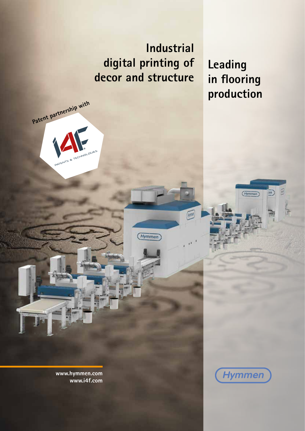**Industrial digital printing of decor and structure**

Hymmen

**Leading in flooring production**

 $\overline{m}$ 

 $($ Hymmen $)$ 

**www.hymmen.com www.i4f.com**

**Patent partnership with**

PATER

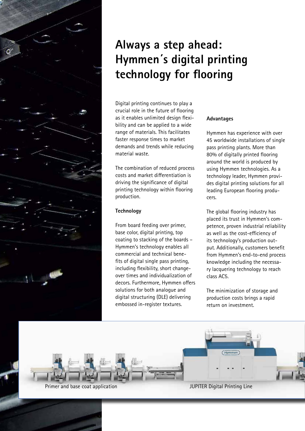

## **Always a step ahead: Hymmen´s digital printing technology for flooring**

Digital printing continues to play a crucial role in the future of flooring as it enables unlimited design flexibility and can be applied to a wide range of materials. This facilitates faster response times to market demands and trends while reducing material waste.

The combination of reduced process costs and market differentiation is driving the significance of digital printing technology within flooring production.

### **Technology**

From board feeding over primer, base color, digital printing, top coating to stacking of the boards – Hymmen's technology enables all commercial and technical benefits of digital single pass printing, including flexibility, short changeover times and individualization of decors. Furthermore, Hymmen offers solutions for both analogue and digital structuring (DLE) delivering embossed in-register textures.

### **Advantages**

Hymmen has experience with over 45 worldwide installations of single pass printing plants. More than 80% of digitally printed flooring around the world is produced by using Hymmen technologies. As a technology leader, Hymmen provides digital printing solutions for all leading European flooring producers.

The global flooring industry has placed its trust in Hymmen's competence, proven industrial reliability as well as the cost-efficiency of its technology's production output. Additionally, customers benefit from Hymmen's end-to-end process knowledge including the necessary lacquering technology to reach class AC5.

The minimization of storage and production costs brings a rapid return on investment.

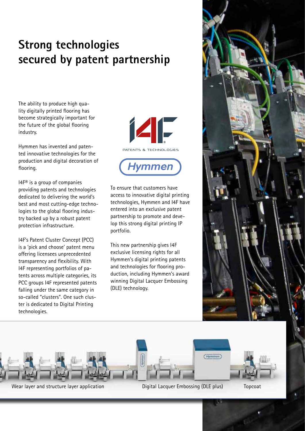## **Strong technologies secured by patent partnership**

The ability to produce high quality digitally printed flooring has become strategically important for the future of the global flooring industry.

Hymmen has invented and patented innovative technologies for the production and digital decoration of flooring.

I4F® is a group of companies providing patents and technologies dedicated to delivering the world's best and most cutting-edge technologies to the global flooring industry backed up by a robust patent protection infrastructure.

I4F's Patent Cluster Concept (PCC) is a 'pick and choose' patent menu offering licensees unprecedented transparency and flexibility. With I4F representing portfolios of patents across multiple categories, its PCC groups I4F represented patents falling under the same category in so-called "clusters". One such cluster is dedicated to Digital Printing technologies.



To ensure that customers have access to innovative digital printing technologies, Hymmen and I4F have entered into an exclusive patent partnership to promote and develop this strong digital printing IP portfolio.

This new partnership gives I4F exclusive licensing rights for all Hymmen's digital printing patents and technologies for flooring production, including Hymmen's award winning Digital Lacquer Embossing (DLE) technology.





Wear layer and structure layer application **Digital Lacquer Embossing (DLE plus)** Topcoat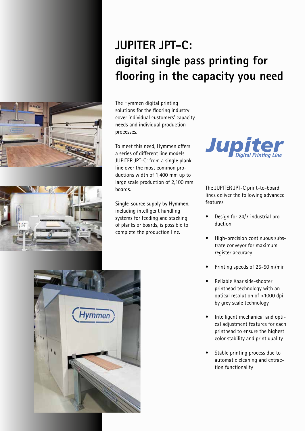# **JUPITER JPT-C: digital single pass printing for flooring in the capacity you need**

The Hymmen digital printing solutions for the flooring industry cover individual customers' capacity needs and individual production processes.

To meet this need, Hymmen offers a series of different line models JUPITER JPT-C: from a single plank line over the most common productions width of 1,400 mm up to large scale production of 2,100 mm boards.

Single-source supply by Hymmen, including intelligent handling systems for feeding and stacking of planks or boards, is possible to complete the production line.



The JUPITER JPT-C print-to-board lines deliver the following advanced features

- Design for 24/7 industrial production
- High-precision continuous substrate conveyor for maximum register accuracy
- Printing speeds of 25-50 m/min
- Reliable Xaar side-shooter printhead technology with an optical resolution of >1000 dpi by grey scale technology
- Intelligent mechanical and optical adjustment features for each printhead to ensure the highest color stability and print quality
- Stable printing process due to automatic cleaning and extraction functionality





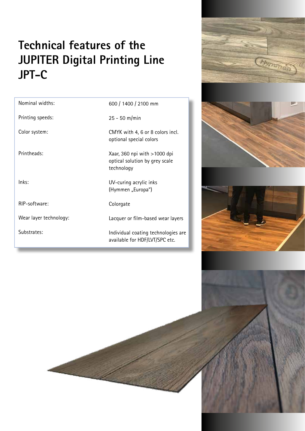## **Technical features of the JUPITER Digital Printing Line JPT-C**

| Nominal widths:        | 600 / 1400 / 2100 mm                                                           |
|------------------------|--------------------------------------------------------------------------------|
| Printing speeds:       | $25 - 50$ m/min                                                                |
| Color system:          | CMYK with 4, 6 or 8 colors incl.<br>optional special colors                    |
| Printheads:            | Xaar, 360 npi with $>1000$ dpi<br>optical solution by grey scale<br>technology |
| lnks:                  | UV-curing acrylic inks<br>(Hymmen "Europa")                                    |
| RIP-software:          | Colorgate                                                                      |
| Wear layer technology: | Lacquer or film-based wear layers                                              |
| Substrates:            | Individual coating technologies are<br>available for HDF/LVT/SPC etc.          |
|                        |                                                                                |







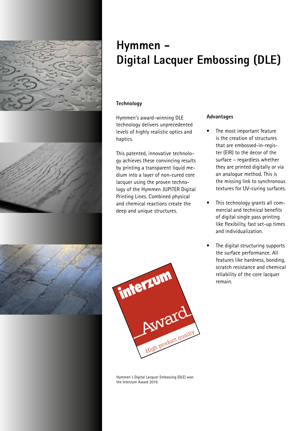

### **Hymmen - Digital Lacquer Embossing (DLE)**

### **Technology**

Hymmen's award-winning DLE technology delivers unprecedented levels of highly realistic optics and haptics.

This patented, innovative technology achieves these convincing results by printing a transparent liquid medium into a layer of non-cured core lacquer using the proven technology of the Hymmen JUPITER Digital Printing Lines. Combined physical and chemical reactions create the deep and unique structures.

#### **Advantages**

- The most important feature is the creation of structures that are embossed-in-register (EIR) to the decor of the surface – regardless whether they are printed digitally or via an analogue method. This is the missing link to synchronous textures for UV-curing surfaces.
- This technology grants all commercial and technical benefits of digital single pass printing like flexibility, fast set-up times and individualization.
- The digital structuring supports the surface performance. All features like hardness, bonding, scratch resistance and chemical reliability of the core lacquer remain.



Hymmen´s Digital Lacquer Embossing (DLE) won the Interzum Award 2019.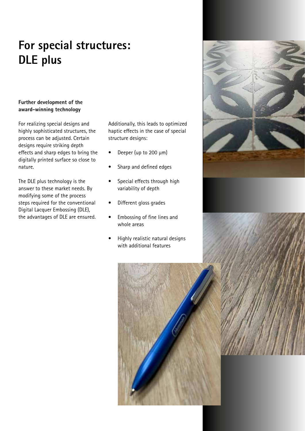# **For special structures: DLE plus**

### **Further development of the award-winning technology**

For realizing special designs and highly sophisticated structures, the process can be adjusted. Certain designs require striking depth effects and sharp edges to bring the digitally printed surface so close to nature.

The DLE plus technology is the answer to these market needs. By modifying some of the process steps required for the conventional Digital Lacquer Embossing (DLE), the advantages of DLE are ensured. Additionally, this leads to optimized haptic effects in the case of special structure designs:

- Deeper (up to 200 µm)
- Sharp and defined edges
- Special effects through high variability of depth
- Different gloss grades
- Embossing of fine lines and whole areas
- Highly realistic natural designs with additional features